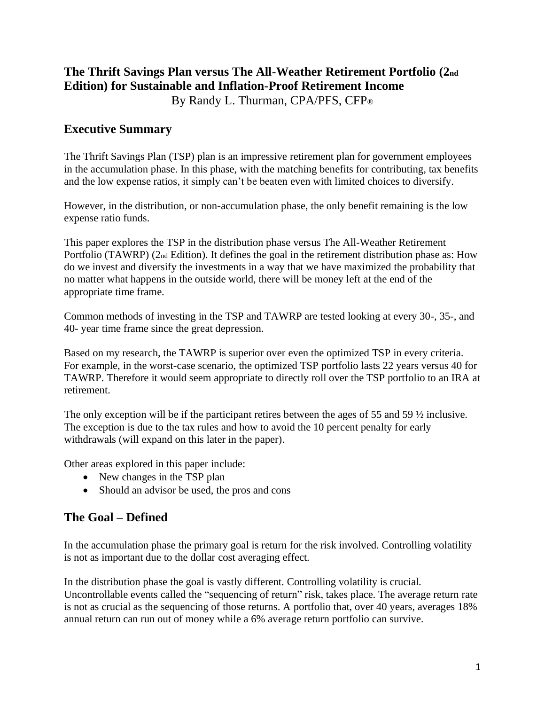# **The Thrift Savings Plan versus The All-Weather Retirement Portfolio (2nd Edition) for Sustainable and Inflation-Proof Retirement Income**

By Randy L. Thurman, CPA/PFS, CFP®

# **Executive Summary**

The Thrift Savings Plan (TSP) plan is an impressive retirement plan for government employees in the accumulation phase. In this phase, with the matching benefits for contributing, tax benefits and the low expense ratios, it simply can't be beaten even with limited choices to diversify.

However, in the distribution, or non-accumulation phase, the only benefit remaining is the low expense ratio funds.

This paper explores the TSP in the distribution phase versus The All-Weather Retirement Portfolio (TAWRP) (2nd Edition). It defines the goal in the retirement distribution phase as: How do we invest and diversify the investments in a way that we have maximized the probability that no matter what happens in the outside world, there will be money left at the end of the appropriate time frame.

Common methods of investing in the TSP and TAWRP are tested looking at every 30-, 35-, and 40- year time frame since the great depression.

Based on my research, the TAWRP is superior over even the optimized TSP in every criteria. For example, in the worst-case scenario, the optimized TSP portfolio lasts 22 years versus 40 for TAWRP. Therefore it would seem appropriate to directly roll over the TSP portfolio to an IRA at retirement.

The only exception will be if the participant retires between the ages of 55 and 59 ½ inclusive. The exception is due to the tax rules and how to avoid the 10 percent penalty for early withdrawals (will expand on this later in the paper).

Other areas explored in this paper include:

- New changes in the TSP plan
- Should an advisor be used, the pros and cons

# **The Goal – Defined**

In the accumulation phase the primary goal is return for the risk involved. Controlling volatility is not as important due to the dollar cost averaging effect.

In the distribution phase the goal is vastly different. Controlling volatility is crucial. Uncontrollable events called the "sequencing of return" risk, takes place. The average return rate is not as crucial as the sequencing of those returns. A portfolio that, over 40 years, averages 18% annual return can run out of money while a 6% average return portfolio can survive.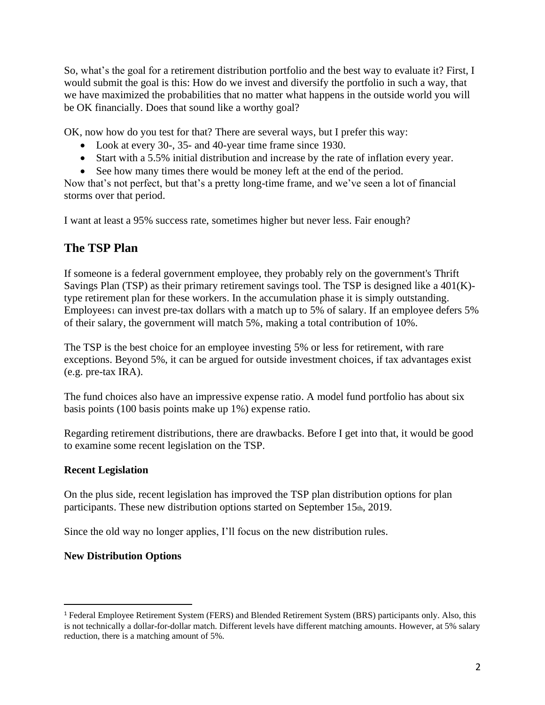So, what's the goal for a retirement distribution portfolio and the best way to evaluate it? First, I would submit the goal is this: How do we invest and diversify the portfolio in such a way, that we have maximized the probabilities that no matter what happens in the outside world you will be OK financially. Does that sound like a worthy goal?

OK, now how do you test for that? There are several ways, but I prefer this way:

- Look at every 30-, 35- and 40-year time frame since 1930.
- Start with a 5.5% initial distribution and increase by the rate of inflation every year.
- See how many times there would be money left at the end of the period.

Now that's not perfect, but that's a pretty long-time frame, and we've seen a lot of financial storms over that period.

I want at least a 95% success rate, sometimes higher but never less. Fair enough?

# **The TSP Plan**

If someone is a federal government employee, they probably rely on the government's Thrift Savings Plan (TSP) as their primary retirement savings tool. The TSP is designed like a 401(K) type retirement plan for these workers. In the accumulation phase it is simply outstanding. Employees<sub>1</sub> can invest pre-tax dollars with a match up to 5% of salary. If an employee defers 5% of their salary, the government will match 5%, making a total contribution of 10%.

The TSP is the best choice for an employee investing 5% or less for retirement, with rare exceptions. Beyond 5%, it can be argued for outside investment choices, if tax advantages exist (e.g. pre-tax IRA).

The fund choices also have an impressive expense ratio. A model fund portfolio has about six basis points (100 basis points make up 1%) expense ratio.

Regarding retirement distributions, there are drawbacks. Before I get into that, it would be good to examine some recent legislation on the TSP.

### **Recent Legislation**

On the plus side, recent legislation has improved the TSP plan distribution options for plan participants. These new distribution options started on September 15th, 2019.

Since the old way no longer applies, I'll focus on the new distribution rules.

### **New Distribution Options**

<sup>1</sup> Federal Employee Retirement System (FERS) and Blended Retirement System (BRS) participants only. Also, this is not technically a dollar-for-dollar match. Different levels have different matching amounts. However, at 5% salary reduction, there is a matching amount of 5%.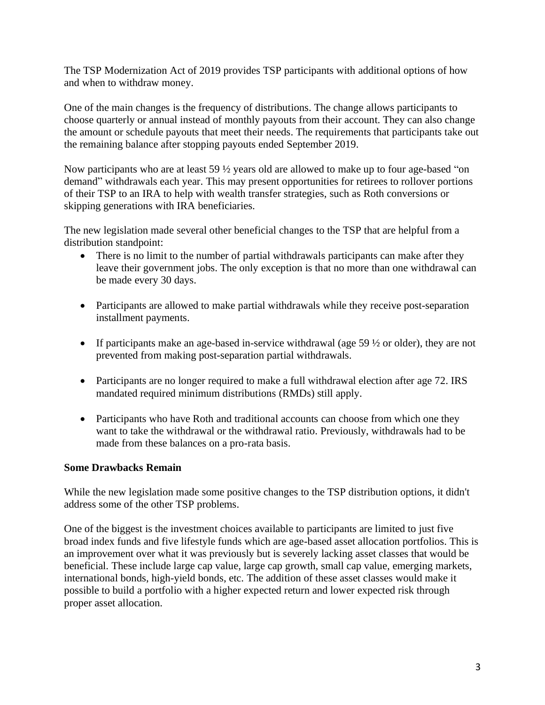The TSP Modernization Act of 2019 provides TSP participants with additional options of how and when to withdraw money.

One of the main changes is the frequency of distributions. The change allows participants to choose quarterly or annual instead of monthly payouts from their account. They can also change the amount or schedule payouts that meet their needs. The requirements that participants take out the remaining balance after stopping payouts ended September 2019.

Now participants who are at least 59 ½ years old are allowed to make up to four age-based "on demand" withdrawals each year. This may present opportunities for retirees to rollover portions of their TSP to an IRA to help with wealth transfer strategies, such as Roth conversions or skipping generations with IRA beneficiaries.

The new legislation made several other beneficial changes to the TSP that are helpful from a distribution standpoint:

- There is no limit to the number of partial withdrawals participants can make after they leave their government jobs. The only exception is that no more than one withdrawal can be made every 30 days.
- Participants are allowed to make partial withdrawals while they receive post-separation installment payments.
- If participants make an age-based in-service withdrawal (age  $59\frac{1}{2}$  or older), they are not prevented from making post-separation partial withdrawals.
- Participants are no longer required to make a full withdrawal election after age 72. IRS mandated required minimum distributions (RMDs) still apply.
- Participants who have Roth and traditional accounts can choose from which one they want to take the withdrawal or the withdrawal ratio. Previously, withdrawals had to be made from these balances on a pro-rata basis.

### **Some Drawbacks Remain**

While the new legislation made some positive changes to the TSP distribution options, it didn't address some of the other TSP problems.

One of the biggest is the investment choices available to participants are limited to just five broad index funds and five lifestyle funds which are age-based asset allocation portfolios. This is an improvement over what it was previously but is severely lacking asset classes that would be beneficial. These include large cap value, large cap growth, small cap value, emerging markets, international bonds, high-yield bonds, etc. The addition of these asset classes would make it possible to build a portfolio with a higher expected return and lower expected risk through proper asset allocation.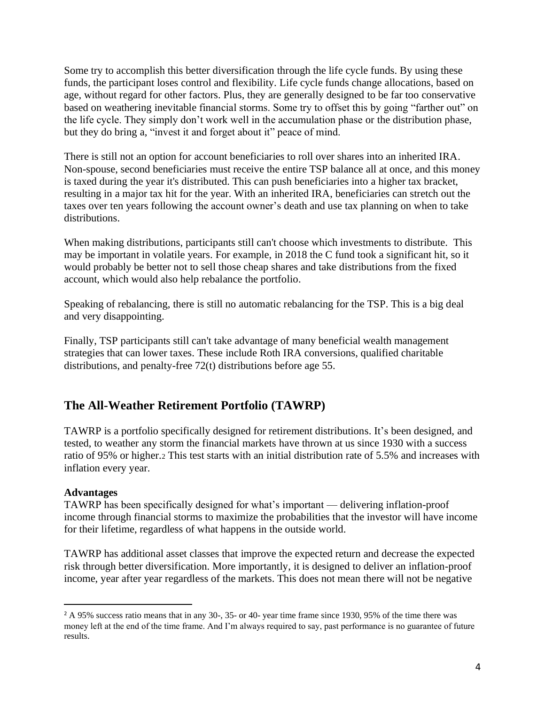Some try to accomplish this better diversification through the life cycle funds. By using these funds, the participant loses control and flexibility. Life cycle funds change allocations, based on age, without regard for other factors. Plus, they are generally designed to be far too conservative based on weathering inevitable financial storms. Some try to offset this by going "farther out" on the life cycle. They simply don't work well in the accumulation phase or the distribution phase, but they do bring a, "invest it and forget about it" peace of mind.

There is still not an option for account beneficiaries to roll over shares into an inherited IRA. Non-spouse, second beneficiaries must receive the entire TSP balance all at once, and this money is taxed during the year it's distributed. This can push beneficiaries into a higher tax bracket, resulting in a major tax hit for the year. With an inherited IRA, beneficiaries can stretch out the taxes over ten years following the account owner's death and use tax planning on when to take distributions.

When making distributions, participants still can't choose which investments to distribute. This may be important in volatile years. For example, in 2018 the C fund took a significant hit, so it would probably be better not to sell those cheap shares and take distributions from the fixed account, which would also help rebalance the portfolio.

Speaking of rebalancing, there is still no automatic rebalancing for the TSP. This is a big deal and very disappointing.

Finally, TSP participants still can't take advantage of many beneficial wealth management strategies that can lower taxes. These include Roth IRA conversions, qualified charitable distributions, and penalty-free 72(t) distributions before age 55.

# **The All-Weather Retirement Portfolio (TAWRP)**

TAWRP is a portfolio specifically designed for retirement distributions. It's been designed, and tested, to weather any storm the financial markets have thrown at us since 1930 with a success ratio of 95% or higher.<sup>2</sup> This test starts with an initial distribution rate of 5.5% and increases with inflation every year.

#### **Advantages**

TAWRP has been specifically designed for what's important — delivering inflation-proof income through financial storms to maximize the probabilities that the investor will have income for their lifetime, regardless of what happens in the outside world.

TAWRP has additional asset classes that improve the expected return and decrease the expected risk through better diversification. More importantly, it is designed to deliver an inflation-proof income, year after year regardless of the markets. This does not mean there will not be negative

<sup>2</sup> A 95% success ratio means that in any 30-, 35- or 40- year time frame since 1930, 95% of the time there was money left at the end of the time frame. And I'm always required to say, past performance is no guarantee of future results.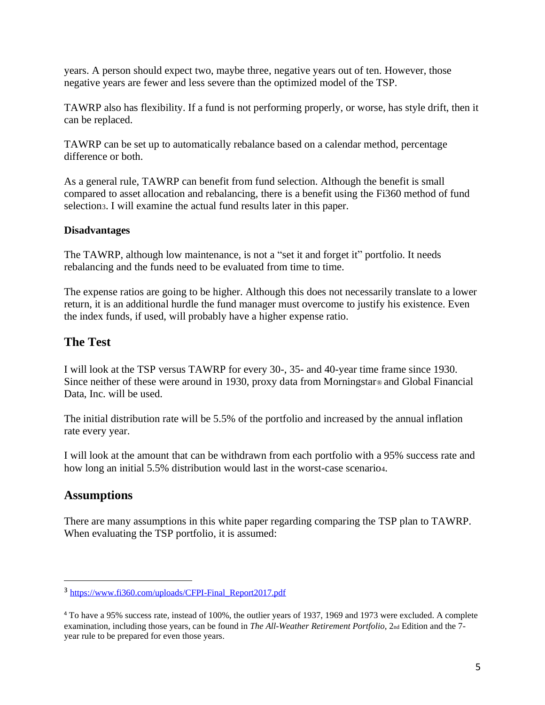years. A person should expect two, maybe three, negative years out of ten. However, those negative years are fewer and less severe than the optimized model of the TSP.

TAWRP also has flexibility. If a fund is not performing properly, or worse, has style drift, then it can be replaced.

TAWRP can be set up to automatically rebalance based on a calendar method, percentage difference or both.

As a general rule, TAWRP can benefit from fund selection. Although the benefit is small compared to asset allocation and rebalancing, there is a benefit using the Fi360 method of fund selection3. I will examine the actual fund results later in this paper.

### **Disadvantages**

The TAWRP, although low maintenance, is not a "set it and forget it" portfolio. It needs rebalancing and the funds need to be evaluated from time to time.

The expense ratios are going to be higher. Although this does not necessarily translate to a lower return, it is an additional hurdle the fund manager must overcome to justify his existence. Even the index funds, if used, will probably have a higher expense ratio.

# **The Test**

I will look at the TSP versus TAWRP for every 30-, 35- and 40-year time frame since 1930. Since neither of these were around in 1930, proxy data from Morningstar® and Global Financial Data, Inc. will be used.

The initial distribution rate will be 5.5% of the portfolio and increased by the annual inflation rate every year.

I will look at the amount that can be withdrawn from each portfolio with a 95% success rate and how long an initial 5.5% distribution would last in the worst-case scenario4.

# **Assumptions**

There are many assumptions in this white paper regarding comparing the TSP plan to TAWRP. When evaluating the TSP portfolio, it is assumed:

<sup>3</sup> [https://www.fi360.com/uploads/CFPI-Final\\_Report2017.pdf](https://www.fi360.com/uploads/CFPI-Final_Report2017.pdf)

<sup>4</sup> To have a 95% success rate, instead of 100%, the outlier years of 1937, 1969 and 1973 were excluded. A complete examination, including those years, can be found in *The All-Weather Retirement Portfolio*, 2<sub>nd</sub> Edition and the 7year rule to be prepared for even those years.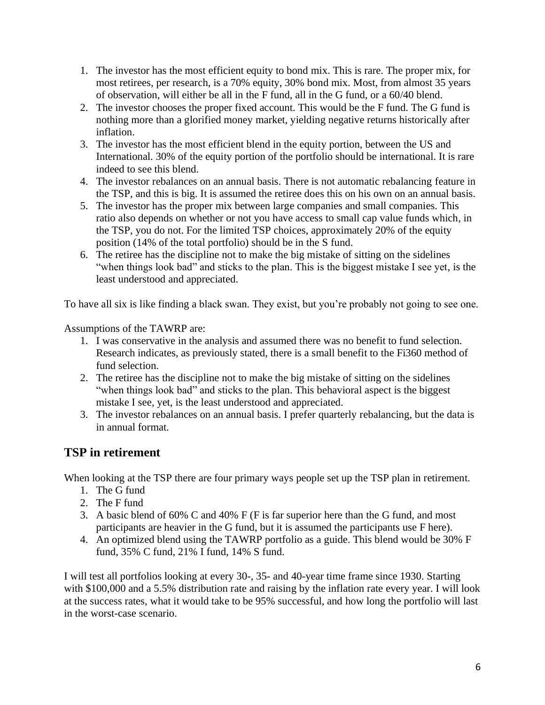- 1. The investor has the most efficient equity to bond mix. This is rare. The proper mix, for most retirees, per research, is a 70% equity, 30% bond mix. Most, from almost 35 years of observation, will either be all in the F fund, all in the G fund, or a 60/40 blend.
- 2. The investor chooses the proper fixed account. This would be the F fund. The G fund is nothing more than a glorified money market, yielding negative returns historically after inflation.
- 3. The investor has the most efficient blend in the equity portion, between the US and International. 30% of the equity portion of the portfolio should be international. It is rare indeed to see this blend.
- 4. The investor rebalances on an annual basis. There is not automatic rebalancing feature in the TSP, and this is big. It is assumed the retiree does this on his own on an annual basis.
- 5. The investor has the proper mix between large companies and small companies. This ratio also depends on whether or not you have access to small cap value funds which, in the TSP, you do not. For the limited TSP choices, approximately 20% of the equity position (14% of the total portfolio) should be in the S fund.
- 6. The retiree has the discipline not to make the big mistake of sitting on the sidelines "when things look bad" and sticks to the plan. This is the biggest mistake I see yet, is the least understood and appreciated.

To have all six is like finding a black swan. They exist, but you're probably not going to see one.

Assumptions of the TAWRP are:

- 1. I was conservative in the analysis and assumed there was no benefit to fund selection. Research indicates, as previously stated, there is a small benefit to the Fi360 method of fund selection.
- 2. The retiree has the discipline not to make the big mistake of sitting on the sidelines "when things look bad" and sticks to the plan. This behavioral aspect is the biggest mistake I see, yet, is the least understood and appreciated.
- 3. The investor rebalances on an annual basis. I prefer quarterly rebalancing, but the data is in annual format.

# **TSP in retirement**

When looking at the TSP there are four primary ways people set up the TSP plan in retirement.

- 1. The G fund
- 2. The F fund
- 3. A basic blend of 60% C and 40% F (F is far superior here than the G fund, and most participants are heavier in the G fund, but it is assumed the participants use F here).
- 4. An optimized blend using the TAWRP portfolio as a guide. This blend would be 30% F fund, 35% C fund, 21% I fund, 14% S fund.

I will test all portfolios looking at every 30-, 35- and 40-year time frame since 1930. Starting with \$100,000 and a 5.5% distribution rate and raising by the inflation rate every year. I will look at the success rates, what it would take to be 95% successful, and how long the portfolio will last in the worst-case scenario.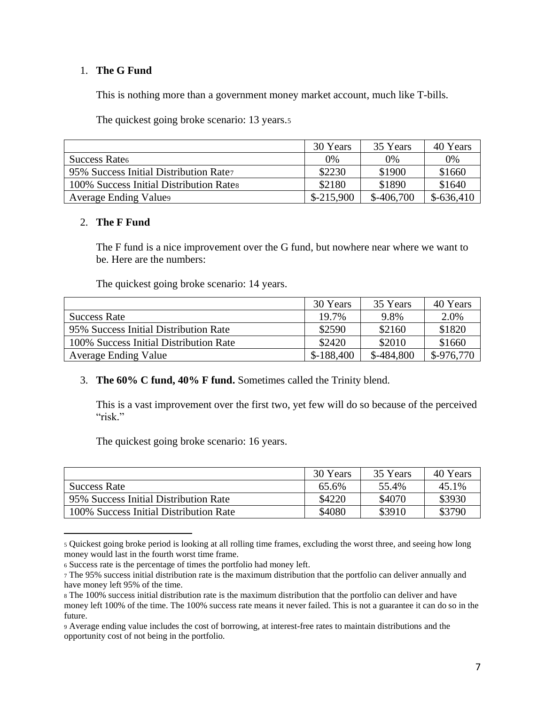### 1. **The G Fund**

This is nothing more than a government money market account, much like T-bills.

The quickest going broke scenario: 13 years.<sup>5</sup>

|                                         | 30 Years    | 35 Years    | 40 Years    |
|-----------------------------------------|-------------|-------------|-------------|
| Success Rate <sub>6</sub>               | $0\%$       | 0%          | 0%          |
| 95% Success Initial Distribution Rate   | \$2230      | \$1900      | \$1660      |
| 100% Success Initial Distribution Rates | \$2180      | \$1890      | \$1640      |
| <b>Average Ending Values</b>            | $$-215,900$ | $$-406,700$ | $$-636,410$ |

#### 2. **The F Fund**

The F fund is a nice improvement over the G fund, but nowhere near where we want to be. Here are the numbers:

The quickest going broke scenario: 14 years.

|                                        | 30 Years    | 35 Years    | 40 Years    |
|----------------------------------------|-------------|-------------|-------------|
| <b>Success Rate</b>                    | 19.7%       | 9.8%        | 2.0%        |
| 95% Success Initial Distribution Rate  | \$2590      | \$2160      | \$1820      |
| 100% Success Initial Distribution Rate | \$2420      | \$2010      | \$1660      |
| Average Ending Value                   | $$-188,400$ | $$-484,800$ | $$-976,770$ |

#### 3. **The 60% C fund, 40% F fund.** Sometimes called the Trinity blend.

This is a vast improvement over the first two, yet few will do so because of the perceived "risk."

The quickest going broke scenario: 16 years.

|                                        | 30 Years | 35 Years | 40 Years |
|----------------------------------------|----------|----------|----------|
| <b>Success Rate</b>                    | 65.6%    | 55.4%    | 45.1%    |
| 95% Success Initial Distribution Rate  | \$4220   | \$4070   | \$3930   |
| 100% Success Initial Distribution Rate | \$4080   | \$3910   | \$3790   |

<sup>5</sup> Quickest going broke period is looking at all rolling time frames, excluding the worst three, and seeing how long money would last in the fourth worst time frame.

<sup>6</sup> Success rate is the percentage of times the portfolio had money left.

<sup>7</sup> The 95% success initial distribution rate is the maximum distribution that the portfolio can deliver annually and have money left 95% of the time.

<sup>8</sup> The 100% success initial distribution rate is the maximum distribution that the portfolio can deliver and have money left 100% of the time. The 100% success rate means it never failed. This is not a guarantee it can do so in the future.

<sup>9</sup> Average ending value includes the cost of borrowing, at interest-free rates to maintain distributions and the opportunity cost of not being in the portfolio.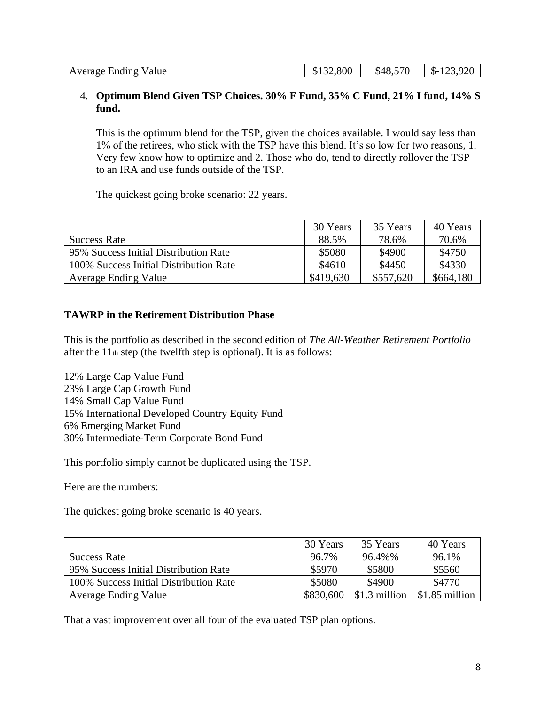### 4. **Optimum Blend Given TSP Choices. 30% F Fund, 35% C Fund, 21% I fund, 14% S fund.**

This is the optimum blend for the TSP, given the choices available. I would say less than 1% of the retirees, who stick with the TSP have this blend. It's so low for two reasons, 1. Very few know how to optimize and 2. Those who do, tend to directly rollover the TSP to an IRA and use funds outside of the TSP.

The quickest going broke scenario: 22 years.

|                                        | 30 Years  | 35 Years  | 40 Years  |
|----------------------------------------|-----------|-----------|-----------|
| <b>Success Rate</b>                    | 88.5%     | 78.6%     | 70.6%     |
| 95% Success Initial Distribution Rate  | \$5080    | \$4900    | \$4750    |
| 100% Success Initial Distribution Rate | \$4610    | \$4450    | \$4330    |
| <b>Average Ending Value</b>            | \$419,630 | \$557,620 | \$664,180 |

#### **TAWRP in the Retirement Distribution Phase**

This is the portfolio as described in the second edition of *The All-Weather Retirement Portfolio* after the  $11<sub>th</sub>$  step (the twelfth step is optional). It is as follows:

12% Large Cap Value Fund 23% Large Cap Growth Fund 14% Small Cap Value Fund 15% International Developed Country Equity Fund 6% Emerging Market Fund 30% Intermediate-Term Corporate Bond Fund

This portfolio simply cannot be duplicated using the TSP.

Here are the numbers:

The quickest going broke scenario is 40 years.

|                                        | 30 Years  | 35 Years      | 40 Years       |
|----------------------------------------|-----------|---------------|----------------|
| <b>Success Rate</b>                    | 96.7%     | 96.4%%        | 96.1%          |
| 95% Success Initial Distribution Rate  | \$5970    | \$5800        | \$5560         |
| 100% Success Initial Distribution Rate | \$5080    | \$4900        | \$4770         |
| <b>Average Ending Value</b>            | \$830,600 | \$1.3 million | \$1.85 million |

That a vast improvement over all four of the evaluated TSP plan options.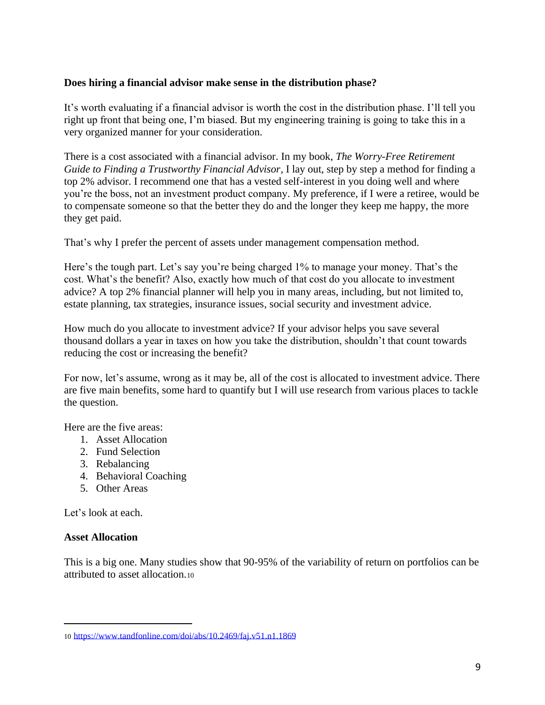### **Does hiring a financial advisor make sense in the distribution phase?**

It's worth evaluating if a financial advisor is worth the cost in the distribution phase. I'll tell you right up front that being one, I'm biased. But my engineering training is going to take this in a very organized manner for your consideration.

There is a cost associated with a financial advisor. In my book, *The Worry-Free Retirement Guide to Finding a Trustworthy Financial Advisor,* I lay out, step by step a method for finding a top 2% advisor. I recommend one that has a vested self-interest in you doing well and where you're the boss, not an investment product company. My preference, if I were a retiree, would be to compensate someone so that the better they do and the longer they keep me happy, the more they get paid.

That's why I prefer the percent of assets under management compensation method.

Here's the tough part. Let's say you're being charged 1% to manage your money. That's the cost. What's the benefit? Also, exactly how much of that cost do you allocate to investment advice? A top 2% financial planner will help you in many areas, including, but not limited to, estate planning, tax strategies, insurance issues, social security and investment advice.

How much do you allocate to investment advice? If your advisor helps you save several thousand dollars a year in taxes on how you take the distribution, shouldn't that count towards reducing the cost or increasing the benefit?

For now, let's assume, wrong as it may be, all of the cost is allocated to investment advice. There are five main benefits, some hard to quantify but I will use research from various places to tackle the question.

Here are the five areas:

- 1. Asset Allocation
- 2. Fund Selection
- 3. Rebalancing
- 4. Behavioral Coaching
- 5. Other Areas

Let's look at each.

#### **Asset Allocation**

This is a big one. Many studies show that 90-95% of the variability of return on portfolios can be attributed to asset allocation.<sup>10</sup>

<sup>10</sup> <https://www.tandfonline.com/doi/abs/10.2469/faj.v51.n1.1869>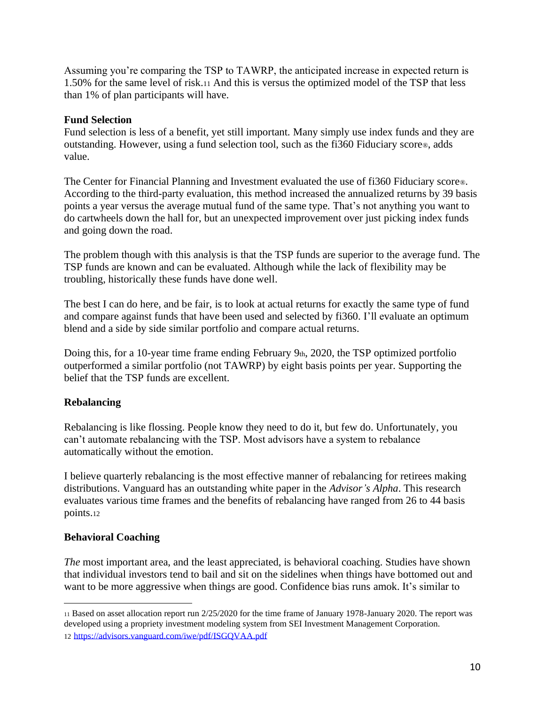Assuming you're comparing the TSP to TAWRP, the anticipated increase in expected return is 1.50% for the same level of risk.<sup>11</sup> And this is versus the optimized model of the TSP that less than 1% of plan participants will have.

### **Fund Selection**

Fund selection is less of a benefit, yet still important. Many simply use index funds and they are outstanding. However, using a fund selection tool, such as the fi360 Fiduciary score®, adds value.

The Center for Financial Planning and Investment evaluated the use of fi360 Fiduciary score®. According to the third-party evaluation, this method increased the annualized returns by 39 basis points a year versus the average mutual fund of the same type. That's not anything you want to do cartwheels down the hall for, but an unexpected improvement over just picking index funds and going down the road.

The problem though with this analysis is that the TSP funds are superior to the average fund. The TSP funds are known and can be evaluated. Although while the lack of flexibility may be troubling, historically these funds have done well.

The best I can do here, and be fair, is to look at actual returns for exactly the same type of fund and compare against funds that have been used and selected by fi360. I'll evaluate an optimum blend and a side by side similar portfolio and compare actual returns.

Doing this, for a 10-year time frame ending February 9th, 2020, the TSP optimized portfolio outperformed a similar portfolio (not TAWRP) by eight basis points per year. Supporting the belief that the TSP funds are excellent.

### **Rebalancing**

Rebalancing is like flossing. People know they need to do it, but few do. Unfortunately, you can't automate rebalancing with the TSP. Most advisors have a system to rebalance automatically without the emotion.

I believe quarterly rebalancing is the most effective manner of rebalancing for retirees making distributions. Vanguard has an outstanding white paper in the *Advisor's Alpha*. This research evaluates various time frames and the benefits of rebalancing have ranged from 26 to 44 basis points.<sup>12</sup>

#### **Behavioral Coaching**

*The* most important area, and the least appreciated, is behavioral coaching. Studies have shown that individual investors tend to bail and sit on the sidelines when things have bottomed out and want to be more aggressive when things are good. Confidence bias runs amok. It's similar to

<sup>11</sup> Based on asset allocation report run 2/25/2020 for the time frame of January 1978-January 2020. The report was developed using a propriety investment modeling system from SEI Investment Management Corporation. 12 <https://advisors.vanguard.com/iwe/pdf/ISGQVAA.pdf>